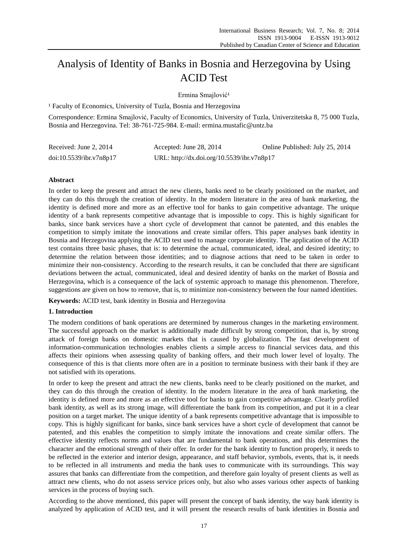# Analysis of Identity of Banks in Bosnia and Herzegovina by Using ACID Test

Ermina Smajlović<sup>1</sup>

<sup>1</sup>Faculty of Economics, University of Tuzla, Bosnia and Herzegovina

Correspondence: Ermina Smajlović, Faculty of Economics, University of Tuzla, Univerzitetska 8, 75 000 Tuzla, Bosnia and Herzegovina. Tel: 38-761-725-984. E-mail: ermina.mustafic@untz.ba

| Received: June 2, 2014  | Accepted: June 28, 2014                    | Online Published: July 25, 2014 |
|-------------------------|--------------------------------------------|---------------------------------|
| doi:10.5539/ibr.v7n8p17 | URL: http://dx.doi.org/10.5539/ibr.v7n8p17 |                                 |

# **Abstract**

In order to keep the present and attract the new clients, banks need to be clearly positioned on the market, and they can do this through the creation of identity. In the modern literature in the area of bank marketing, the identity is defined more and more as an effective tool for banks to gain competitive advantage. The unique identity of a bank represents competitive advantage that is impossible to copy. This is highly significant for banks, since bank services have a short cycle of development that cannot be patented, and this enables the competition to simply imitate the innovations and create similar offers. This paper analyses bank identity in Bosnia and Herzegovina applying the ACID test used to manage corporate identity. The application of the ACID test contains three basic phases, that is: to determine the actual, communicated, ideal, and desired identity; to determine the relation between those identities; and to diagnose actions that need to be taken in order to minimize their non-consistency. According to the research results, it can be concluded that there are significant deviations between the actual, communicated, ideal and desired identity of banks on the market of Bosnia and Herzegovina, which is a consequence of the lack of systemic approach to manage this phenomenon. Therefore, suggestions are given on how to remove, that is, to minimize non-consistency between the four named identities.

**Keywords:** ACID test, bank identity in Bosnia and Herzegovina

# **1. Introduction**

The modern conditions of bank operations are determined by numerous changes in the marketing environment. The successful approach on the market is additionally made difficult by strong competition, that is, by strong attack of foreign banks on domestic markets that is caused by globalization. The fast development of information-communication technologies enables clients a simple access to financial services data, and this affects their opinions when assessing quality of banking offers, and their much lower level of loyalty. The consequence of this is that clients more often are in a position to terminate business with their bank if they are not satisfied with its operations.

In order to keep the present and attract the new clients, banks need to be clearly positioned on the market, and they can do this through the creation of identity. In the modern literature in the area of bank marketing, the identity is defined more and more as an effective tool for banks to gain competitive advantage. Clearly profiled bank identity, as well as its strong image, will differentiate the bank from its competition, and put it in a clear position on a target market. The unique identity of a bank represents competitive advantage that is impossible to copy. This is highly significant for banks, since bank services have a short cycle of development that cannot be patented, and this enables the competition to simply imitate the innovations and create similar offers. The effective identity reflects norms and values that are fundamental to bank operations, and this determines the character and the emotional strength of their offer. In order for the bank identity to function properly, it needs to be reflected in the exterior and interior design, appearance, and staff behavior, symbols, events, that is, it needs to be reflected in all instruments and media the bank uses to communicate with its surroundings. This way assures that banks can differentiate from the competition, and therefore gain loyalty of present clients as well as attract new clients, who do not assess service prices only, but also who asses various other aspects of banking services in the process of buying such.

According to the above mentioned, this paper will present the concept of bank identity, the way bank identity is analyzed by application of ACID test, and it will present the research results of bank identities in Bosnia and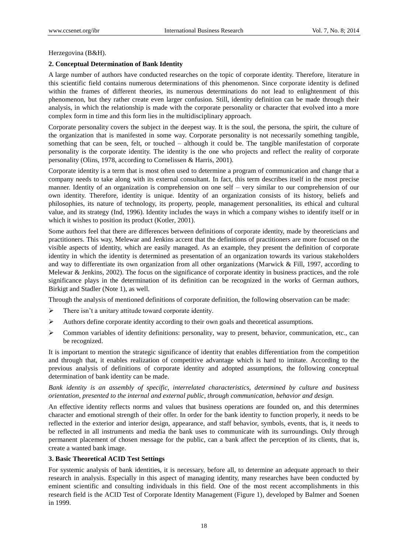Herzegovina (B&H).

## **2. Conceptual Determination of Bank Identity**

A large number of authors have conducted researches on the topic of corporate identity. Therefore, literature in this scientific field contains numerous determinations of this phenomenon. Since corporate identity is defined within the frames of different theories, its numerous determinations do not lead to enlightenment of this phenomenon, but they rather create even larger confusion. Still, identity definition can be made through their analysis, in which the relationship is made with the corporate personality or character that evolved into a more complex form in time and this form lies in the multidisciplinary approach.

Corporate personality covers the subject in the deepest way. It is the soul, the persona, the spirit, the culture of the organization that is manifested in some way. Corporate personality is not necessarily something tangible, something that can be seen, felt, or touched – although it could be. The tangible manifestation of corporate personality is the corporate identity. The identity is the one who projects and reflect the reality of corporate personality (Olins, 1978, according to Cornelissen & Harris, 2001).

Corporate identity is a term that is most often used to determine a program of communication and change that a company needs to take along with its external consultant. In fact, this term describes itself in the most precise manner. Identity of an organization is comprehension on one self – very similar to our comprehension of our own identity. Therefore, identity is unique. Identity of an organization consists of its history, beliefs and philosophies, its nature of technology, its property, people, management personalities, its ethical and cultural value, and its strategy (Ind, 1996). Identity includes the ways in which a company wishes to identify itself or in which it wishes to position its product (Kotler, 2001).

Some authors feel that there are differences between definitions of corporate identity, made by theoreticians and practitioners. This way, Melewar and Jenkins accent that the definitions of practitioners are more focused on the visible aspects of identity, which are easily managed. As an example, they present the definition of corporate identity in which the identity is determined as presentation of an organization towards its various stakeholders and way to differentiate its own organization from all other organizations (Marwick & Fill, 1997, according to Melewar & Jenkins, 2002). The focus on the significance of corporate identity in business practices, and the role significance plays in the determination of its definition can be recognized in the works of German authors, Birkigt and Stadler (Note 1), as well.

Through the analysis of mentioned definitions of corporate definition, the following observation can be made:

- $\triangleright$  There isn't a unitary attitude toward corporate identity.
- $\triangleright$  Authors define corporate identity according to their own goals and theoretical assumptions.
- $\triangleright$  Common variables of identity definitions: personality, way to present, behavior, communication, etc., can be recognized.

It is important to mention the strategic significance of identity that enables differentiation from the competition and through that, it enables realization of competitive advantage which is hard to imitate. According to the previous analysis of definitions of corporate identity and adopted assumptions, the following conceptual determination of bank identity can be made.

*Bank identity is an assembly of specific, interrelated characteristics, determined by culture and business orientation, presented to the internal and external public, through communication, behavior and design.* 

An effective identity reflects norms and values that business operations are founded on, and this determines character and emotional strength of their offer. In order for the bank identity to function properly, it needs to be reflected in the exterior and interior design, appearance, and staff behavior, symbols, events, that is, it needs to be reflected in all instruments and media the bank uses to communicate with its surroundings. Only through permanent placement of chosen message for the public, can a bank affect the perception of its clients, that is, create a wanted bank image.

#### **3. Basic Theoretical ACID Test Settings**

For systemic analysis of bank identities, it is necessary, before all, to determine an adequate approach to their research in analysis. Especially in this aspect of managing identity, many researches have been conducted by eminent scientific and consulting individuals in this field. One of the most recent accomplishments in this research field is the ACID Test of Corporate Identity Management (Figure 1), developed by Balmer and Soenen in 1999.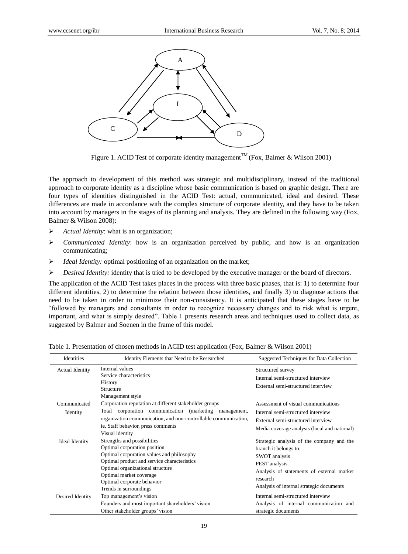

Figure 1. ACID Test of corporate identity management<sup>TM</sup> (Fox, Balmer & Wilson 2001)

The approach to development of this method was strategic and multidisciplinary, instead of the traditional approach to corporate identity as a discipline whose basic communication is based on graphic design. There are four types of identities distinguished in the ACID Test: actual, communicated, ideal and desired. These differences are made in accordance with the complex structure of corporate identity, and they have to be taken into account by managers in the stages of its planning and analysis. They are defined in the following way (Fox, Balmer & Wilson 2008):

- *Actual Identity*: what is an organization;
- *Communicated Identity*: how is an organization perceived by public, and how is an organization communicating;
- *Ideal Identity:* optimal positioning of an organization on the market;
- *Desired Identity:* identity that is tried to be developed by the executive manager or the board of directors.

The application of the ACID Test takes places in the process with three basic phases, that is: 1) to determine four different identities, 2) to determine the relation between those identities, and finally 3) to diagnose actions that need to be taken in order to minimize their non-consistency. It is anticipated that these stages have to be "followed by managers and consultants in order to recognize necessary changes and to risk what is urgent, important, and what is simply desired". Table 1 presents research areas and techniques used to collect data, as suggested by Balmer and Soenen in the frame of this model.

| <b>Identities</b>        | Identity Elements that Need to be Researched                                                                                                                                                                                                                                   | Suggested Techniques for Data Collection                                                                                                                                                                  |
|--------------------------|--------------------------------------------------------------------------------------------------------------------------------------------------------------------------------------------------------------------------------------------------------------------------------|-----------------------------------------------------------------------------------------------------------------------------------------------------------------------------------------------------------|
| <b>Actual Identity</b>   | Internal values<br>Service characteristics<br>History<br>Structure<br>Management style                                                                                                                                                                                         | Structured survey<br>Internal semi-structured interview<br>External semi-structured interview                                                                                                             |
| Communicated<br>Identity | Corporation reputation at different stakeholder groups<br>Total corporation communication (marketing management,<br>organization communication, and non-controllable communication,<br>ie. Staff behavior, press comments<br>Visual identity                                   | Assessment of visual communications<br>Internal semi-structured interview<br>External semi-structured interview<br>Media coverage analysis (local and national)                                           |
| Ideal Identity           | Strengths and possibilities<br>Optimal corporation position<br>Optimal corporation values and philosophy<br>Optimal product and service characteristics<br>Optimal organizational structure<br>Optimal market coverage<br>Optimal corporate behavior<br>Trends in surroundings | Strategic analysis of the company and the<br>branch it belongs to:<br>SWOT analysis<br>PEST analysis<br>Analysis of statements of external market<br>research<br>Analysis of internal strategic documents |
| Desired Identity         | Top management's vision<br>Founders and most important shareholders' vision<br>Other stakeholder groups' vision                                                                                                                                                                | Internal semi-structured interview<br>Analysis of internal communication and<br>strategic documents                                                                                                       |

Table 1. Presentation of chosen methods in ACID test application (Fox, Balmer & Wilson 2001)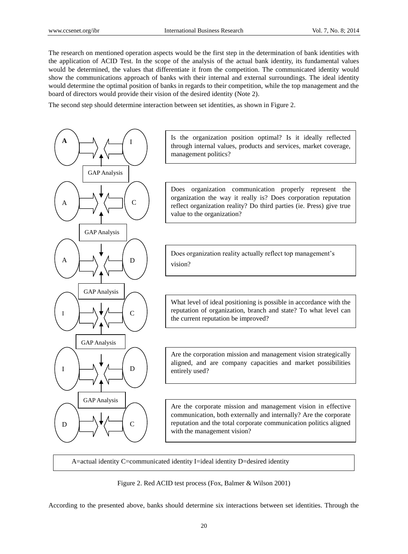The research on mentioned operation aspects would be the first step in the determination of bank identities with the application of ACID Test. In the scope of the analysis of the actual bank identity, its fundamental values would be determined, the values that differentiate it from the competition. The communicated identity would show the communications approach of banks with their internal and external surroundings. The ideal identity would determine the optimal position of banks in regards to their competition, while the top management and the board of directors would provide their vision of the desired identity (Note 2).

The second step should determine interaction between set identities, as shown in Figure 2.



A=actual identity C=communicated identity I=ideal identity D=desired identity

Figure 2. Red ACID test process (Fox, Balmer & Wilson 2001)

According to the presented above, banks should determine six interactions between set identities. Through the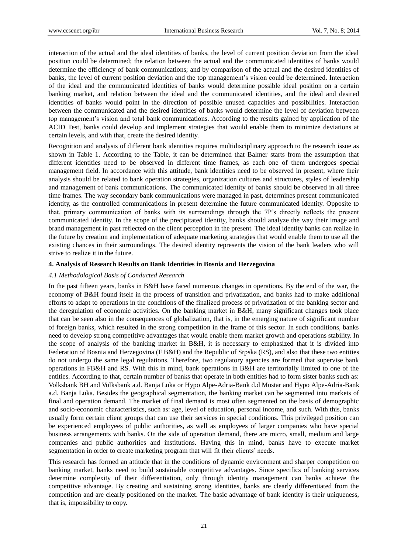interaction of the actual and the ideal identities of banks, the level of current position deviation from the ideal position could be determined; the relation between the actual and the communicated identities of banks would determine the efficiency of bank communications; and by comparison of the actual and the desired identities of banks, the level of current position deviation and the top management's vision could be determined. Interaction of the ideal and the communicated identities of banks would determine possible ideal position on a certain banking market, and relation between the ideal and the communicated identities, and the ideal and desired identities of banks would point in the direction of possible unused capacities and possibilities. Interaction between the communicated and the desired identities of banks would determine the level of deviation between top management's vision and total bank communications. According to the results gained by application of the ACID Test, banks could develop and implement strategies that would enable them to minimize deviations at certain levels, and with that, create the desired identity.

Recognition and analysis of different bank identities requires multidisciplinary approach to the research issue as shown in Table 1. According to the Table, it can be determined that Balmer starts from the assumption that different identities need to be observed in different time frames, as each one of them undergoes special management field. In accordance with this attitude, bank identities need to be observed in present, where their analysis should be related to bank operation strategies, organization cultures and structures, styles of leadership and management of bank communications. The communicated identity of banks should be observed in all three time frames. The way secondary bank communications were managed in past, determines present communicated identity, as the controlled communications in present determine the future communicated identity. Opposite to that, primary communication of banks with its surroundings through the 7P's directly reflects the present communicated identity. In the scope of the precipitated identity, banks should analyze the way their image and brand management in past reflected on the client perception in the present. The ideal identity banks can realize in the future by creation and implementation of adequate marketing strategies that would enable them to use all the existing chances in their surroundings. The desired identity represents the vision of the bank leaders who will strive to realize it in the future.

#### **4. Analysis of Research Results on Bank Identities in Bosnia and Herzegovina**

#### *4.1 Methodological Basis of Conducted Research*

In the past fifteen years, banks in B&H have faced numerous changes in operations. By the end of the war, the economy of B&H found itself in the process of transition and privatization, and banks had to make additional efforts to adapt to operations in the conditions of the finalized process of privatization of the banking sector and the deregulation of economic activities. On the banking market in B&H, many significant changes took place that can be seen also in the consequences of globalization, that is, in the emerging nature of significant number of foreign banks, which resulted in the strong competition in the frame of this sector. In such conditions, banks need to develop strong competitive advantages that would enable them market growth and operations stability. In the scope of analysis of the banking market in B&H, it is necessary to emphasized that it is divided into Federation of Bosnia and Herzegovina (F B&H) and the Republic of Srpska (RS), and also that these two entities do not undergo the same legal regulations. Therefore, two regulatory agencies are formed that supervise bank operations in FB&H and RS. With this in mind, bank operations in B&H are territorially limited to one of the entities. According to that, certain number of banks that operate in both entities had to form sister banks such as: Volksbank BH and Volksbank a.d. Banja Luka or Hypo Alpe-Adria-Bank d.d Mostar and Hypo Alpe-Adria-Bank a.d. Banja Luka. Besides the geographical segmentation, the banking market can be segmented into markets of final and operation demand. The market of final demand is most often segmented on the basis of demographic and socio-economic characteristics, such as: age, level of education, personal income, and such. With this, banks usually form certain client groups that can use their services in special conditions. This privileged position can be experienced employees of public authorities, as well as employees of larger companies who have special business arrangements with banks. On the side of operation demand, there are micro, small, medium and large companies and public authorities and institutions. Having this in mind, banks have to execute market segmentation in order to create marketing program that will fit their clients' needs.

This research has formed an attitude that in the conditions of dynamic environment and sharper competition on banking market, banks need to build sustainable competitive advantages. Since specifics of banking services determine complexity of their differentiation, only through identity management can banks achieve the competitive advantage. By creating and sustaining strong identities, banks are clearly differentiated from the competition and are clearly positioned on the market. The basic advantage of bank identity is their uniqueness, that is, impossibility to copy.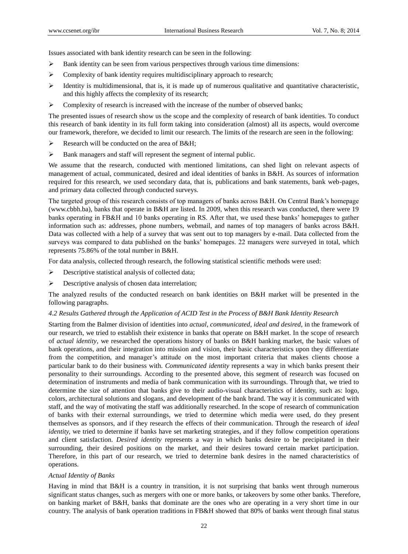Issues associated with bank identity research can be seen in the following:

- $\triangleright$  Bank identity can be seen from various perspectives through various time dimensions:
- $\triangleright$  Complexity of bank identity requires multidisciplinary approach to research;
- $\triangleright$  Identity is multidimensional, that is, it is made up of numerous qualitative and quantitative characteristic, and this highly affects the complexity of its research;
- $\triangleright$  Complexity of research is increased with the increase of the number of observed banks;

The presented issues of research show us the scope and the complexity of research of bank identities. To conduct this research of bank identity in its full form taking into consideration (almost) all its aspects, would overcome our framework, therefore, we decided to limit our research. The limits of the research are seen in the following:

- $\triangleright$  Research will be conducted on the area of B&H;
- $\triangleright$  Bank managers and staff will represent the segment of internal public.

We assume that the research, conducted with mentioned limitations, can shed light on relevant aspects of management of actual, communicated, desired and ideal identities of banks in B&H. As sources of information required for this research, we used secondary data, that is, publications and bank statements, bank web-pages, and primary data collected through conducted surveys.

The targeted group of this research consists of top managers of banks across B&H. On Central Bank's homepage (www.cbbh.ba), banks that operate in B&H are listed. In 2009, when this research was conducted, there were 19 banks operating in FB&H and 10 banks operating in RS. After that, we used these banks' homepages to gather information such as: addresses, phone numbers, webmail, and names of top managers of banks across B&H. Data was collected with a help of a survey that was sent out to top managers by e-mail. Data collected from the surveys was compared to data published on the banks' homepages. 22 managers were surveyed in total, which represents 75.86% of the total number in B&H.

For data analysis, collected through research, the following statistical scientific methods were used:

- $\triangleright$  Descriptive statistical analysis of collected data;
- $\triangleright$  Descriptive analysis of chosen data interrelation;

The analyzed results of the conducted research on bank identities on B&H market will be presented in the following paragraphs.

#### *4.2 Results Gathered through the Application of ACID Test in the Process of B&H Bank Identity Research*

Starting from the Balmer division of identities into *actual, communicated, ideal and desired,* in the framework of our research, we tried to establish their existence in banks that operate on B&H market. In the scope of research of *actual identity*, we researched the operations history of banks on B&H banking market, the basic values of bank operations, and their integration into mission and vision, their basic characteristics upon they differentiate from the competition, and manager's attitude on the most important criteria that makes clients choose a particular bank to do their business with. *Communicated identity* represents a way in which banks present their personality to their surroundings. According to the presented above, this segment of research was focused on determination of instruments and media of bank communication with its surroundings. Through that, we tried to determine the size of attention that banks give to their audio-visual characteristics of identity, such as: logo, colors, architectural solutions and slogans, and development of the bank brand. The way it is communicated with staff, and the way of motivating the staff was additionally researched. In the scope of research of communication of banks with their external surroundings, we tried to determine which media were used, do they present themselves as sponsors, and if they research the effects of their communication. Through the research of *ideal identity,* we tried to determine if banks have set marketing strategies, and if they follow competition operations and client satisfaction. *Desired identity* represents a way in which banks desire to be precipitated in their surrounding, their desired positions on the market, and their desires toward certain market participation. Therefore, in this part of our research, we tried to determine bank desires in the named characteristics of operations.

#### *Actual Identity of Banks*

Having in mind that B&H is a country in transition, it is not surprising that banks went through numerous significant status changes, such as mergers with one or more banks, or takeovers by some other banks. Therefore, on banking market of B&H, banks that dominate are the ones who are operating in a very short time in our country. The analysis of bank operation traditions in FB&H showed that 80% of banks went through final status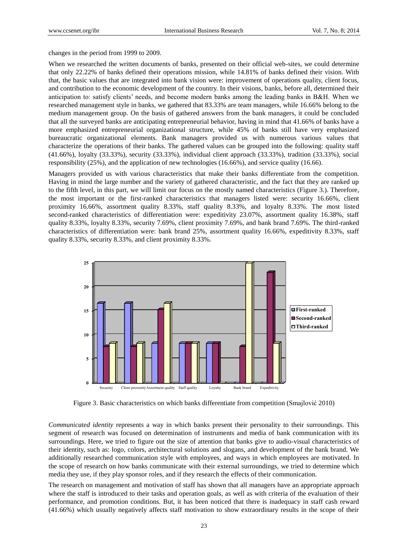changes in the period from 1999 to 2009.

When we researched the written documents of banks, presented on their official web-sites, we could determine that only 22.22% of banks defined their operations mission, while 14.81% of banks defined their vision. With that, the basic values that are integrated into bank vision were: improvement of operations quality, client focus, and contribution to the economic development of the country. In their visions, banks, before all, determined their anticipation to: satisfy clients' needs, and become modern banks among the leading banks in B&H. When we researched management style in banks, we gathered that 83.33% are team managers, while 16.66% belong to the medium management group. On the basis of gathered answers from the bank managers, it could be concluded that all the surveyed banks are anticipating entrepreneurial behavior, having in mind that 41.66% of banks have a more emphasized entrepreneurial organizational structure, while 45% of banks still have very emphasized bureaucratic organizational elements. Bank managers provided us with numerous various values that characterize the operations of their banks. The gathered values can be grouped into the following: quality staff (41.66%), loyalty (33.33%), security (33.33%), individual client approach (33.33%), tradition (33.33%), social responsibility (25%), and the application of new technologies (16.66%), and service quality (16.66).

Managers provided us with various characteristics that make their banks differentiate from the competition. Having in mind the large number and the variety of gathered characteristic, and the fact that they are ranked up to the fifth level, in this part, we will limit our focus on the mostly named characteristics (Figure 3.). Therefore, the most important or the first-ranked characteristics that managers listed were: security 16.66%, client proximity 16.66%, assortment quality 8.33%, staff quality 8.33%, and loyalty 8.33%. The most listed second-ranked characteristics of differentiation were: expeditivity 23.07%, assortment quality 16.38%, staff quality 8.33%, loyalty 8.33%, security 7.69%, client proximity 7.69%, and bank brand 7.69%. The third-ranked characteristics of differentiation were: bank brand 25%, assortment quality 16.66%, expeditivity 8.33%, staff quality 8.33%, security 8.33%, and client proximity 8.33%.



Figure 3. Basic characteristics on which banks differentiate from competition (Smajlović 2010)

*Communicated identity* represents a way in which banks present their personality to their surroundings. This segment of research was focused on determination of instruments and media of bank communication with its surroundings. Here, we tried to figure out the size of attention that banks give to audio-visual characteristics of their identity, such as: logo, colors, architectural solutions and slogans, and development of the bank brand. We additionally researched communication style with employees, and ways in which employees are motivated. In the scope of research on how banks communicate with their external surroundings, we tried to determine which media they use, if they play sponsor roles, and if they research the effects of their communication.

The research on management and motivation of staff has shown that all managers have an appropriate approach where the staff is introduced to their tasks and operation goals, as well as with criteria of the evaluation of their performance, and promotion conditions. But, it has been noticed that there is inadequacy in staff cash reward (41.66%) which usually negatively affects staff motivation to show extraordinary results in the scope of their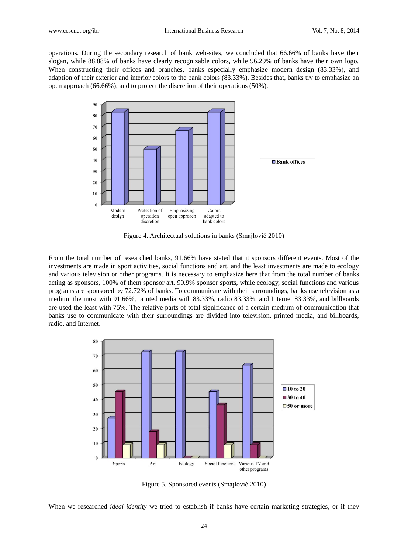operations. During the secondary research of bank web-sites, we concluded that 66.66% of banks have their slogan, while 88.88% of banks have clearly recognizable colors, while 96.29% of banks have their own logo. When constructing their offices and branches, banks especially emphasize modern design (83.33%), and adaption of their exterior and interior colors to the bank colors (83.33%). Besides that, banks try to emphasize an open approach (66.66%), and to protect the discretion of their operations (50%).



Figure 4. Architectual solutions in banks (Smajlović 2010)

From the total number of researched banks, 91.66% have stated that it sponsors different events. Most of the investments are made in sport activities, social functions and art, and the least investments are made to ecology and various television or other programs. It is necessary to emphasize here that from the total number of banks acting as sponsors, 100% of them sponsor art, 90.9% sponsor sports, while ecology, social functions and various programs are sponsored by 72.72% of banks. To communicate with their surroundings, banks use television as a medium the most with 91.66%, printed media with 83.33%, radio 83.33%, and Internet 83.33%, and billboards are used the least with 75%. The relative parts of total significance of a certain medium of communication that banks use to communicate with their surroundings are divided into television, printed media, and billboards, radio, and Internet.



Figure 5. Sponsored events (Smajlović 2010)

When we researched *ideal identity* we tried to establish if banks have certain marketing strategies, or if they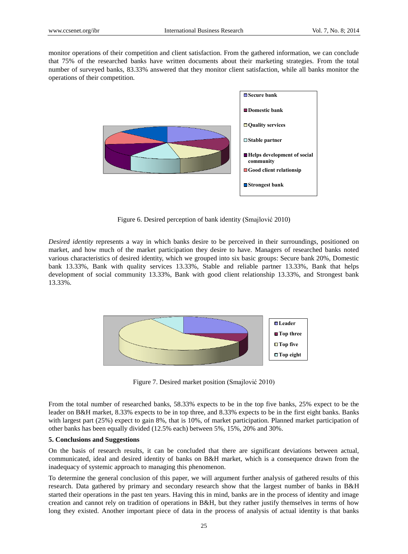monitor operations of their competition and client satisfaction. From the gathered information, we can conclude that 75% of the researched banks have written documents about their marketing strategies. From the total number of surveyed banks, 83.33% answered that they monitor client satisfaction, while all banks monitor the operations of their competition.



Figure 6. Desired perception of bank identity (Smajlović 2010)

*Desired identity* represents a way in which banks desire to be perceived in their surroundings, positioned on market, and how much of the market participation they desire to have. Managers of researched banks noted various characteristics of desired identity, which we grouped into six basic groups: Secure bank 20%, Domestic bank 13.33%, Bank with quality services 13.33%, Stable and reliable partner 13.33%, Bank that helps development of social community 13.33%, Bank with good client relationship 13.33%, and Strongest bank 13.33%.



Figure 7. Desired market position (Smajlović 2010)

From the total number of researched banks, 58.33% expects to be in the top five banks, 25% expect to be the leader on B&H market, 8.33% expects to be in top three, and 8.33% expects to be in the first eight banks. Banks with largest part (25%) expect to gain 8%, that is 10%, of market participation. Planned market participation of other banks has been equally divided (12.5% each) between 5%, 15%, 20% and 30%.

## **5. Conclusions and Suggestions**

On the basis of research results, it can be concluded that there are significant deviations between actual, communicated, ideal and desired identity of banks on B&H market, which is a consequence drawn from the inadequacy of systemic approach to managing this phenomenon.

To determine the general conclusion of this paper, we will argument further analysis of gathered results of this research. Data gathered by primary and secondary research show that the largest number of banks in B&H started their operations in the past ten years. Having this in mind, banks are in the process of identity and image creation and cannot rely on tradition of operations in B&H, but they rather justify themselves in terms of how long they existed. Another important piece of data in the process of analysis of actual identity is that banks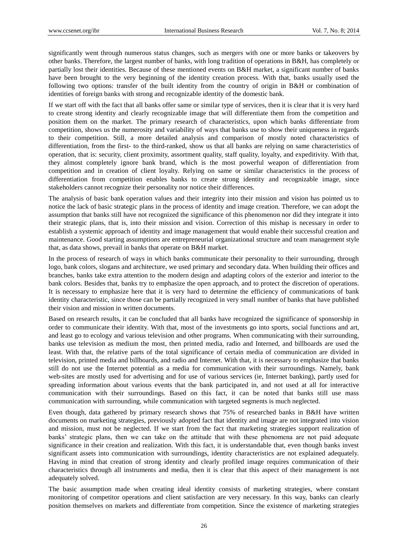significantly went through numerous status changes, such as mergers with one or more banks or takeovers by other banks. Therefore, the largest number of banks, with long tradition of operations in B&H, has completely or partially lost their identities. Because of these mentioned events on B&H market, a significant number of banks have been brought to the very beginning of the identity creation process. With that, banks usually used the following two options: transfer of the built identity from the country of origin in B&H or combination of identities of foreign banks with strong and recognizable identity of the domestic bank.

If we start off with the fact that all banks offer same or similar type of services, then it is clear that it is very hard to create strong identity and clearly recognizable image that will differentiate them from the competition and position them on the market. The primary research of characteristics, upon which banks differentiate from competition, shows us the numerosity and variability of ways that banks use to show their uniqueness in regards to their competition. Still, a more detailed analysis and comparison of mostly noted characteristics of differentiation, from the first- to the third-ranked, show us that all banks are relying on same characteristics of operation, that is: security, client proximity, assortment quality, staff quality, loyalty, and expeditivity. With that, they almost completely ignore bank brand, which is the most powerful weapon of differentiation from competition and in creation of client loyalty. Relying on same or similar characteristics in the process of differentiation from competition enables banks to create strong identity and recognizable image, since stakeholders cannot recognize their personality nor notice their differences.

The analysis of basic bank operation values and their integrity into their mission and vision has pointed us to notice the lack of basic strategic plans in the process of identity and image creation. Therefore, we can adopt the assumption that banks still have not recognized the significance of this phenomenon nor did they integrate it into their strategic plans, that is, into their mission and vision. Correction of this mishap is necessary in order to establish a systemic approach of identity and image management that would enable their successful creation and maintenance. Good starting assumptions are entrepreneurial organizational structure and team management style that, as data shows, prevail in banks that operate on B&H market.

In the process of research of ways in which banks communicate their personality to their surrounding, through logo, bank colors, slogans and architecture, we used primary and secondary data. When building their offices and branches, banks take extra attention to the modern design and adapting colors of the exterior and interior to the bank colors. Besides that, banks try to emphasize the open approach, and to protect the discretion of operations. It is necessary to emphasize here that it is very hard to determine the efficiency of communications of bank identity characteristic, since those can be partially recognized in very small number of banks that have published their vision and mission in written documents.

Based on research results, it can be concluded that all banks have recognized the significance of sponsorship in order to communicate their identity. With that, most of the investments go into sports, social functions and art, and least go to ecology and various television and other programs. When communicating with their surrounding, banks use television as medium the most, then printed media, radio and Interned, and billboards are used the least. With that, the relative parts of the total significance of certain media of communication are divided in television, printed media and billboards, and radio and Internet. With that, it is necessary to emphasize that banks still do not use the Internet potential as a media for communication with their surroundings. Namely, bank web-sites are mostly used for advertising and for use of various services (ie, Internet banking), partly used for spreading information about various events that the bank participated in, and not used at all for interactive communication with their surroundings. Based on this fact, it can be noted that banks still use mass communication with surrounding, while communication with targeted segments is much neglected.

Even though, data gathered by primary research shows that 75% of researched banks in B&H have written documents on marketing strategies, previously adopted fact that identity and image are not integrated into vision and mission, must not be neglected. If we start from the fact that marketing strategies support realization of banks' strategic plans, then we can take on the attitude that with these phenomena are not paid adequate significance in their creation and realization. With this fact, it is understandable that, even though banks invest significant assets into communication with surroundings, identity characteristics are not explained adequately. Having in mind that creation of strong identity and clearly profiled image requires communication of their characteristics through all instruments and media, then it is clear that this aspect of their management is not adequately solved.

The basic assumption made when creating ideal identity consists of marketing strategies, where constant monitoring of competitor operations and client satisfaction are very necessary. In this way, banks can clearly position themselves on markets and differentiate from competition. Since the existence of marketing strategies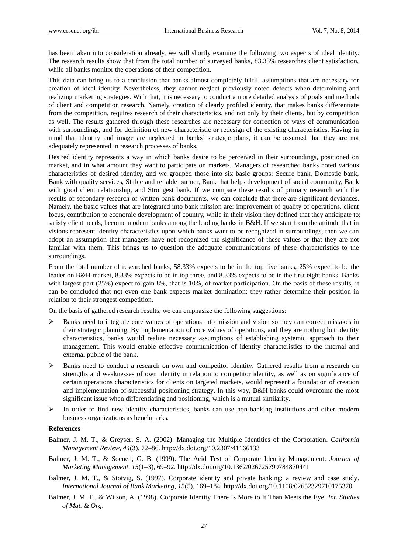has been taken into consideration already, we will shortly examine the following two aspects of ideal identity. The research results show that from the total number of surveyed banks, 83.33% researches client satisfaction, while all banks monitor the operations of their competition.

This data can bring us to a conclusion that banks almost completely fulfill assumptions that are necessary for creation of ideal identity. Nevertheless, they cannot neglect previously noted defects when determining and realizing marketing strategies. With that, it is necessary to conduct a more detailed analysis of goals and methods of client and competition research. Namely, creation of clearly profiled identity, that makes banks differentiate from the competition, requires research of their characteristics, and not only by their clients, but by competition as well. The results gathered through these researches are necessary for correction of ways of communication with surroundings, and for definition of new characteristic or redesign of the existing characteristics. Having in mind that identity and image are neglected in banks' strategic plans, it can be assumed that they are not adequately represented in research processes of banks.

Desired identity represents a way in which banks desire to be perceived in their surroundings, positioned on market, and in what amount they want to participate on markets. Managers of researched banks noted various characteristics of desired identity, and we grouped those into six basic groups: Secure bank, Domestic bank, Bank with quality services, Stable and reliable partner, Bank that helps development of social community, Bank with good client relationship, and Strongest bank. If we compare these results of primary research with the results of secondary research of written bank documents, we can conclude that there are significant deviances. Namely, the basic values that are integrated into bank mission are: improvement of quality of operations, client focus, contribution to economic development of country, while in their vision they defined that they anticipate to: satisfy client needs, become modern banks among the leading banks in B&H. If we start from the attitude that in visions represent identity characteristics upon which banks want to be recognized in surroundings, then we can adopt an assumption that managers have not recognized the significance of these values or that they are not familiar with them. This brings us to question the adequate communications of these characteristics to the surroundings.

From the total number of researched banks, 58.33% expects to be in the top five banks, 25% expect to be the leader on B&H market, 8.33% expects to be in top three, and 8.33% expects to be in the first eight banks. Banks with largest part (25%) expect to gain 8%, that is 10%, of market participation. On the basis of these results, it can be concluded that not even one bank expects market domination; they rather determine their position in relation to their strongest competition.

On the basis of gathered research results, we can emphasize the following suggestions:

- $\triangleright$  Banks need to integrate core values of operations into mission and vision so they can correct mistakes in their strategic planning. By implementation of core values of operations, and they are nothing but identity characteristics, banks would realize necessary assumptions of establishing systemic approach to their management. This would enable effective communication of identity characteristics to the internal and external public of the bank.
- $\triangleright$  Banks need to conduct a research on own and competitor identity. Gathered results from a research on strengths and weaknesses of own identity in relation to competitor identity, as well as on significance of certain operations characteristics for clients on targeted markets, would represent a foundation of creation and implementation of successful positioning strategy. In this way, B&H banks could overcome the most significant issue when differentiating and positioning, which is a mutual similarity.
- $\triangleright$  In order to find new identity characteristics, banks can use non-banking institutions and other modern business organizations as benchmarks.

## **References**

- Balmer, J. M. T., & Greyser, S. A. (2002). Managing the Multiple Identities of the Corporation. *California Management Review, 44*(3), 72–86. http://dx.doi.org/10.2307/41166133
- Balmer, J. M. T., & Soenen, G. B. (1999). The Acid Test of Corporate Identity Management. *Journal of Marketing Management, 15*(1–3), 69–92. http://dx.doi.org/10.1362/026725799784870441
- Balmer, J. M. T., & Stotvig, S. (1997). Corporate identity and private banking: a review and case study. *International Journal of Bank Marketing, 15*(5), 169–184. http://dx.doi.org/10.1108/02652329710175370
- Balmer, J. M. T., & Wilson, A. (1998). Corporate Identity There Is More to It Than Meets the Eye*. Int. Studies of Mgt. & Org*.